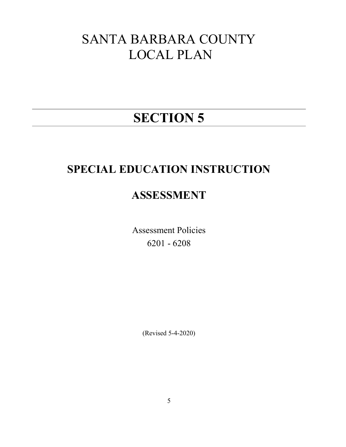# SANTA BARBARA COUNTY LOCAL PLAN

# SECTION 5

## SPECIAL EDUCATION INSTRUCTION

## ASSESSMENT

Assessment Policies 6201 - 6208

(Revised 5-4-2020)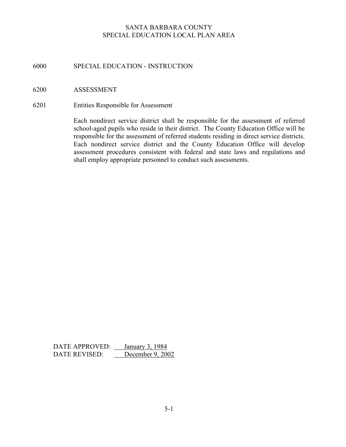## 6000 SPECIAL EDUCATION - INSTRUCTION

#### 6200 ASSESSMENT

6201 Entities Responsible for Assessment

Each nondirect service district shall be responsible for the assessment of referred school-aged pupils who reside in their district. The County Education Office will be responsible for the assessment of referred students residing in direct service districts. Each nondirect service district and the County Education Office will develop assessment procedures consistent with federal and state laws and regulations and shall employ appropriate personnel to conduct such assessments.

DATE APPROVED: <u>January 3, 1984</u><br>DATE REVISED: December 9, 2002 DATE REVISED: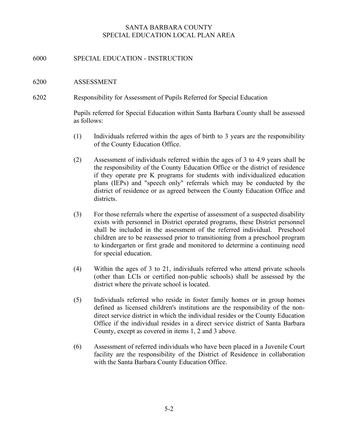## 6000 SPECIAL EDUCATION - INSTRUCTION

#### 6200 ASSESSMENT

6202 Responsibility for Assessment of Pupils Referred for Special Education

Pupils referred for Special Education within Santa Barbara County shall be assessed as follows:

- (1) Individuals referred within the ages of birth to 3 years are the responsibility of the County Education Office.
- (2) Assessment of individuals referred within the ages of 3 to 4.9 years shall be the responsibility of the County Education Office or the district of residence if they operate pre K programs for students with individualized education plans (IEPs) and "speech only" referrals which may be conducted by the district of residence or as agreed between the County Education Office and districts.
- (3) For those referrals where the expertise of assessment of a suspected disability exists with personnel in District operated programs, these District personnel shall be included in the assessment of the referred individual. Preschool children are to be reassessed prior to transitioning from a preschool program to kindergarten or first grade and monitored to determine a continuing need for special education.
- (4) Within the ages of 3 to 21, individuals referred who attend private schools (other than LCIs or certified non-public schools) shall be assessed by the district where the private school is located.
- (5) Individuals referred who reside in foster family homes or in group homes defined as licensed children's institutions are the responsibility of the nondirect service district in which the individual resides or the County Education Office if the individual resides in a direct service district of Santa Barbara County, except as covered in items 1, 2 and 3 above.
- (6) Assessment of referred individuals who have been placed in a Juvenile Court facility are the responsibility of the District of Residence in collaboration with the Santa Barbara County Education Office.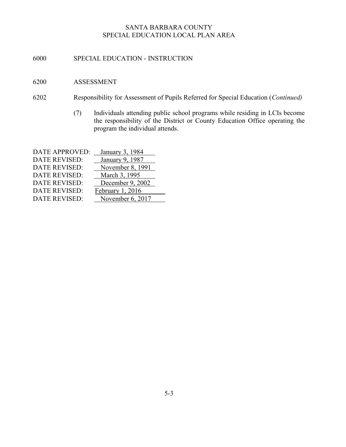- 6000 SPECIAL EDUCATION INSTRUCTION
- 6200 ASSESSMENT
- 6202 Responsibility for Assessment of Pupils Referred for Special Education (Continued)
	- (7) Individuals attending public school programs while residing in LCIs become the responsibility of the District or County Education Office operating the program the individual attends.

| DATE APPROVED:       | January 3, 1984  |
|----------------------|------------------|
| <b>DATE REVISED:</b> | January 9, 1987  |
| <b>DATE REVISED:</b> | November 8, 1991 |
| <b>DATE REVISED:</b> | March 3, 1995    |
| <b>DATE REVISED:</b> | December 9, 2002 |
| <b>DATE REVISED:</b> | February 1, 2016 |
| DATE REVISED:        | November 6, 2017 |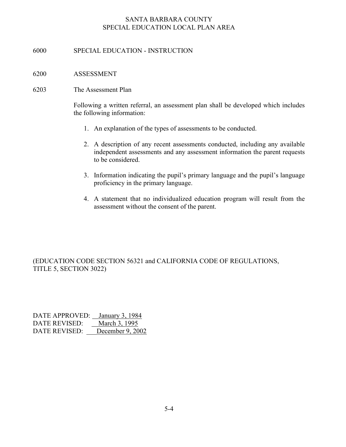## 6000 SPECIAL EDUCATION - INSTRUCTION

#### 6200 ASSESSMENT

### 6203 The Assessment Plan

Following a written referral, an assessment plan shall be developed which includes the following information:

- 1. An explanation of the types of assessments to be conducted.
- 2. A description of any recent assessments conducted, including any available independent assessments and any assessment information the parent requests to be considered.
- 3. Information indicating the pupil's primary language and the pupil's language proficiency in the primary language.
- 4. A statement that no individualized education program will result from the assessment without the consent of the parent.

## (EDUCATION CODE SECTION 56321 and CALIFORNIA CODE OF REGULATIONS, TITLE 5, SECTION 3022)

| DATE APPROVED: January 3, 1984 |                  |
|--------------------------------|------------------|
| DATE REVISED:                  | March 3, 1995    |
| DATE REVISED:                  | December 9, 2002 |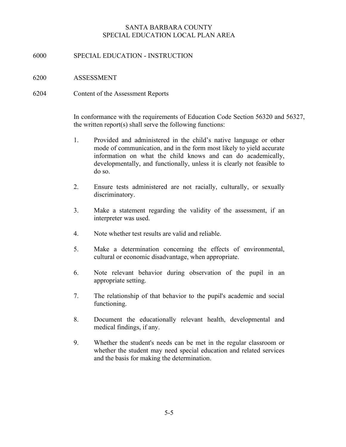## 6000 SPECIAL EDUCATION - INSTRUCTION

- 6200 ASSESSMENT
- 6204 Content of the Assessment Reports

In conformance with the requirements of Education Code Section 56320 and 56327, the written report(s) shall serve the following functions:

- 1. Provided and administered in the child's native language or other mode of communication, and in the form most likely to yield accurate information on what the child knows and can do academically, developmentally, and functionally, unless it is clearly not feasible to do so.
- 2. Ensure tests administered are not racially, culturally, or sexually discriminatory.
- 3. Make a statement regarding the validity of the assessment, if an interpreter was used.
- 4. Note whether test results are valid and reliable.
- 5. Make a determination concerning the effects of environmental, cultural or economic disadvantage, when appropriate.
- 6. Note relevant behavior during observation of the pupil in an appropriate setting.
- 7. The relationship of that behavior to the pupil's academic and social functioning.
- 8. Document the educationally relevant health, developmental and medical findings, if any.
- 9. Whether the student's needs can be met in the regular classroom or whether the student may need special education and related services and the basis for making the determination.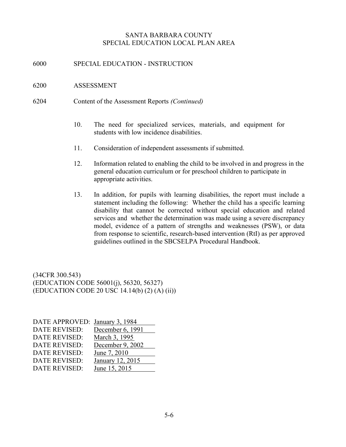6000 SPECIAL EDUCATION - INSTRUCTION

### 6200 ASSESSMENT

- 6204 Content of the Assessment Reports (Continued)
	- 10. The need for specialized services, materials, and equipment for students with low incidence disabilities.
	- 11. Consideration of independent assessments if submitted.
	- 12. Information related to enabling the child to be involved in and progress in the general education curriculum or for preschool children to participate in appropriate activities.
	- 13. In addition, for pupils with learning disabilities, the report must include a statement including the following: Whether the child has a specific learning disability that cannot be corrected without special education and related services and whether the determination was made using a severe discrepancy model, evidence of a pattern of strengths and weaknesses (PSW), or data from response to scientific, research-based intervention (RtI) as per approved guidelines outlined in the SBCSELPA Procedural Handbook.

(34CFR 300.543) (EDUCATION CODE 56001(j), 56320, 56327) (EDUCATION CODE 20 USC 14.14(b) (2) (A) (ii))

| DATE APPROVED:       | January 3, 1984  |
|----------------------|------------------|
| <b>DATE REVISED:</b> | December 6, 1991 |
| <b>DATE REVISED:</b> | March 3, 1995    |
| <b>DATE REVISED:</b> | December 9, 2002 |
| <b>DATE REVISED:</b> | June 7, 2010     |
| <b>DATE REVISED:</b> | January 12, 2015 |
| <b>DATE REVISED:</b> | June 15, 2015    |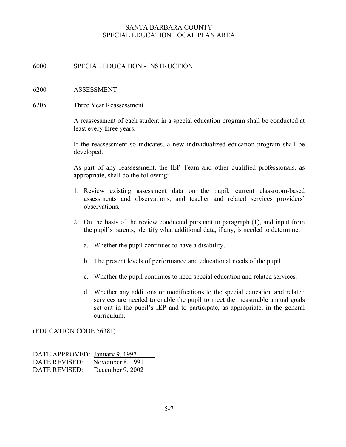## 6000 SPECIAL EDUCATION - INSTRUCTION

### 6200 ASSESSMENT

6205 Three Year Reassessment

A reassessment of each student in a special education program shall be conducted at least every three years.

If the reassessment so indicates, a new individualized education program shall be developed.

As part of any reassessment, the IEP Team and other qualified professionals, as appropriate, shall do the following:

- 1. Review existing assessment data on the pupil, current classroom-based assessments and observations, and teacher and related services providers' observations.
- 2. On the basis of the review conducted pursuant to paragraph (1), and input from the pupil's parents, identify what additional data, if any, is needed to determine:
	- a. Whether the pupil continues to have a disability.
	- b. The present levels of performance and educational needs of the pupil.
	- c. Whether the pupil continues to need special education and related services.
	- d. Whether any additions or modifications to the special education and related services are needed to enable the pupil to meet the measurable annual goals set out in the pupil's IEP and to participate, as appropriate, in the general curriculum.

(EDUCATION CODE 56381)

| DATE APPROVED: January 9, 1997 |                  |
|--------------------------------|------------------|
| DATE REVISED:                  | November 8, 1991 |
| DATE REVISED:                  | December 9, 2002 |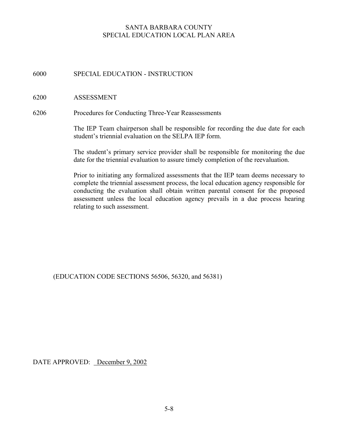6000 SPECIAL EDUCATION - INSTRUCTION

### 6200 ASSESSMENT

6206 Procedures for Conducting Three-Year Reassessments

The IEP Team chairperson shall be responsible for recording the due date for each student's triennial evaluation on the SELPA IEP form.

The student's primary service provider shall be responsible for monitoring the due date for the triennial evaluation to assure timely completion of the reevaluation.

Prior to initiating any formalized assessments that the IEP team deems necessary to complete the triennial assessment process, the local education agency responsible for conducting the evaluation shall obtain written parental consent for the proposed assessment unless the local education agency prevails in a due process hearing relating to such assessment.

(EDUCATION CODE SECTIONS 56506, 56320, and 56381)

DATE APPROVED: December 9, 2002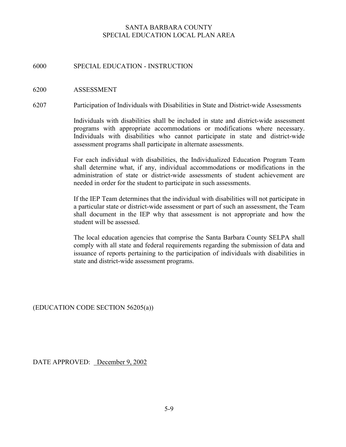## 6000 SPECIAL EDUCATION - INSTRUCTION

#### 6200 ASSESSMENT

6207 Participation of Individuals with Disabilities in State and District-wide Assessments

Individuals with disabilities shall be included in state and district-wide assessment programs with appropriate accommodations or modifications where necessary. Individuals with disabilities who cannot participate in state and district-wide assessment programs shall participate in alternate assessments.

For each individual with disabilities, the Individualized Education Program Team shall determine what, if any, individual accommodations or modifications in the administration of state or district-wide assessments of student achievement are needed in order for the student to participate in such assessments.

If the IEP Team determines that the individual with disabilities will not participate in a particular state or district-wide assessment or part of such an assessment, the Team shall document in the IEP why that assessment is not appropriate and how the student will be assessed.

The local education agencies that comprise the Santa Barbara County SELPA shall comply with all state and federal requirements regarding the submission of data and issuance of reports pertaining to the participation of individuals with disabilities in state and district-wide assessment programs.

(EDUCATION CODE SECTION 56205(a))

DATE APPROVED: December 9, 2002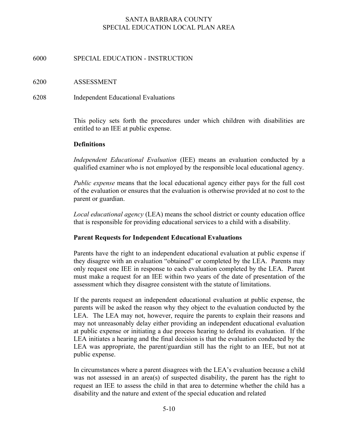## 6000 SPECIAL EDUCATION - INSTRUCTION

### 6200 ASSESSMENT

## 6208 Independent Educational Evaluations

This policy sets forth the procedures under which children with disabilities are entitled to an IEE at public expense.

## **Definitions**

Independent Educational Evaluation (IEE) means an evaluation conducted by a qualified examiner who is not employed by the responsible local educational agency.

Public expense means that the local educational agency either pays for the full cost of the evaluation or ensures that the evaluation is otherwise provided at no cost to the parent or guardian.

Local educational agency (LEA) means the school district or county education office that is responsible for providing educational services to a child with a disability.

## Parent Requests for Independent Educational Evaluations

Parents have the right to an independent educational evaluation at public expense if they disagree with an evaluation "obtained" or completed by the LEA. Parents may only request one IEE in response to each evaluation completed by the LEA. Parent must make a request for an IEE within two years of the date of presentation of the assessment which they disagree consistent with the statute of limitations.

If the parents request an independent educational evaluation at public expense, the parents will be asked the reason why they object to the evaluation conducted by the LEA. The LEA may not, however, require the parents to explain their reasons and may not unreasonably delay either providing an independent educational evaluation at public expense or initiating a due process hearing to defend its evaluation. If the LEA initiates a hearing and the final decision is that the evaluation conducted by the LEA was appropriate, the parent/guardian still has the right to an IEE, but not at public expense.

In circumstances where a parent disagrees with the LEA's evaluation because a child was not assessed in an area(s) of suspected disability, the parent has the right to request an IEE to assess the child in that area to determine whether the child has a disability and the nature and extent of the special education and related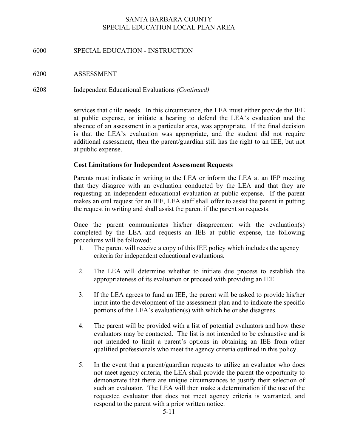## 6000 SPECIAL EDUCATION - INSTRUCTION

## 6200 ASSESSMENT

6208 Independent Educational Evaluations (Continued)

services that child needs. In this circumstance, the LEA must either provide the IEE at public expense, or initiate a hearing to defend the LEA's evaluation and the absence of an assessment in a particular area, was appropriate. If the final decision is that the LEA's evaluation was appropriate, and the student did not require additional assessment, then the parent/guardian still has the right to an IEE, but not at public expense.

## Cost Limitations for Independent Assessment Requests

Parents must indicate in writing to the LEA or inform the LEA at an IEP meeting that they disagree with an evaluation conducted by the LEA and that they are requesting an independent educational evaluation at public expense. If the parent makes an oral request for an IEE, LEA staff shall offer to assist the parent in putting the request in writing and shall assist the parent if the parent so requests.

Once the parent communicates his/her disagreement with the evaluation(s) completed by the LEA and requests an IEE at public expense, the following procedures will be followed:

- 1. The parent will receive a copy of this IEE policy which includes the agency criteria for independent educational evaluations.
- 2. The LEA will determine whether to initiate due process to establish the appropriateness of its evaluation or proceed with providing an IEE.
- 3. If the LEA agrees to fund an IEE, the parent will be asked to provide his/her input into the development of the assessment plan and to indicate the specific portions of the LEA's evaluation(s) with which he or she disagrees.
- 4. The parent will be provided with a list of potential evaluators and how these evaluators may be contacted. The list is not intended to be exhaustive and is not intended to limit a parent's options in obtaining an IEE from other qualified professionals who meet the agency criteria outlined in this policy.
- 5. In the event that a parent/guardian requests to utilize an evaluator who does not meet agency criteria, the LEA shall provide the parent the opportunity to demonstrate that there are unique circumstances to justify their selection of such an evaluator. The LEA will then make a determination if the use of the requested evaluator that does not meet agency criteria is warranted, and respond to the parent with a prior written notice.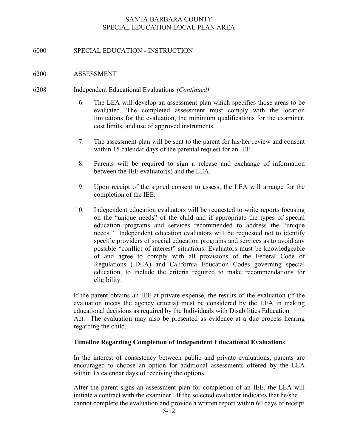## 6000 SPECIAL EDUCATION - INSTRUCTION

#### 6200 ASSESSMENT

#### 6208 Independent Educational Evaluations (Continued)

- 6. The LEA will develop an assessment plan which specifies those areas to be evaluated. The completed assessment must comply with the location limitations for the evaluation, the minimum qualifications for the examiner, cost limits, and use of approved instruments.
- 7. The assessment plan will be sent to the parent for his/her review and consent within 15 calendar days of the parental request for an IEE.
- 8. Parents will be required to sign a release and exchange of information between the IEE evaluator(s) and the LEA.
- 9. Upon receipt of the signed consent to assess, the LEA will arrange for the completion of the IEE.
- 10. Independent education evaluators will be requested to write reports focusing on the "unique needs" of the child and if appropriate the types of special education programs and services recommended to address the "unique needs." Independent education evaluators will be requested not to identify specific providers of special education programs and services as to avoid any possible "conflict of interest" situations. Evaluators must be knowledgeable of and agree to comply with all provisions of the Federal Code of Regulations (IDEA) and California Education Codes governing special education, to include the criteria required to make recommendations for eligibility.

If the parent obtains an IEE at private expense, the results of the evaluation (if the evaluation meets the agency criteria) must be considered by the LEA in making educational decisions as required by the Individuals with Disabilities Education Act. The evaluation may also be presented as evidence at a due process hearing regarding the child.

### Timeline Regarding Completion of Independent Educational Evaluations

In the interest of consistency between public and private evaluations, parents are encouraged to choose an option for additional assessments offered by the LEA within 15 calendar days of receiving the options.

After the parent signs an assessment plan for completion of an IEE, the LEA will initiate a contract with the examiner. If the selected evaluator indicates that he/she cannot complete the evaluation and provide a written report within 60 days of receipt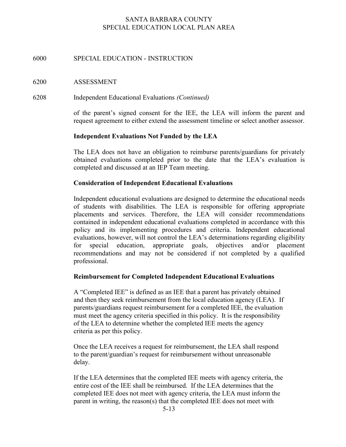## 6000 SPECIAL EDUCATION - INSTRUCTION

#### 6200 ASSESSMENT

6208 Independent Educational Evaluations (Continued)

of the parent's signed consent for the IEE, the LEA will inform the parent and request agreement to either extend the assessment timeline or select another assessor.

#### Independent Evaluations Not Funded by the LEA

The LEA does not have an obligation to reimburse parents/guardians for privately obtained evaluations completed prior to the date that the LEA's evaluation is completed and discussed at an IEP Team meeting.

#### Consideration of Independent Educational Evaluations

 Independent educational evaluations are designed to determine the educational needs of students with disabilities. The LEA is responsible for offering appropriate placements and services. Therefore, the LEA will consider recommendations contained in independent educational evaluations completed in accordance with this policy and its implementing procedures and criteria. Independent educational evaluations, however, will not control the LEA's determinations regarding eligibility for special education, appropriate goals, objectives and/or placement recommendations and may not be considered if not completed by a qualified professional.

#### Reimbursement for Completed Independent Educational Evaluations

A "Completed IEE" is defined as an IEE that a parent has privately obtained and then they seek reimbursement from the local education agency (LEA). If parents/guardians request reimbursement for a completed IEE, the evaluation must meet the agency criteria specified in this policy. It is the responsibility of the LEA to determine whether the completed IEE meets the agency criteria as per this policy.

Once the LEA receives a request for reimbursement, the LEA shall respond to the parent/guardian's request for reimbursement without unreasonable delay.

If the LEA determines that the completed IEE meets with agency criteria, the entire cost of the IEE shall be reimbursed. If the LEA determines that the completed IEE does not meet with agency criteria, the LEA must inform the parent in writing, the reason(s) that the completed IEE does not meet with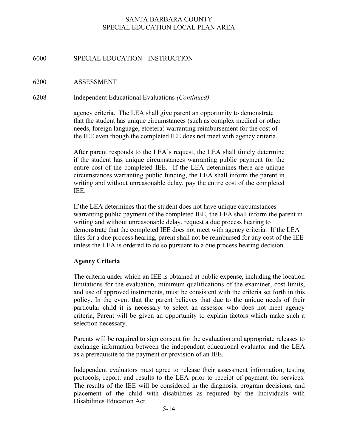### 6000 SPECIAL EDUCATION - INSTRUCTION

#### 6200 ASSESSMENT

#### 6208 Independent Educational Evaluations (Continued)

agency criteria. The LEA shall give parent an opportunity to demonstrate that the student has unique circumstances (such as complex medical or other needs, foreign language, etcetera) warranting reimbursement for the cost of the IEE even though the completed IEE does not meet with agency criteria.

After parent responds to the LEA's request, the LEA shall timely determine if the student has unique circumstances warranting public payment for the entire cost of the completed IEE. If the LEA determines there are unique circumstances warranting public funding, the LEA shall inform the parent in writing and without unreasonable delay, pay the entire cost of the completed IEE.

If the LEA determines that the student does not have unique circumstances warranting public payment of the completed IEE, the LEA shall inform the parent in writing and without unreasonable delay, request a due process hearing to demonstrate that the completed IEE does not meet with agency criteria. If the LEA files for a due process hearing, parent shall not be reimbursed for any cost of the IEE unless the LEA is ordered to do so pursuant to a due process hearing decision.

#### Agency Criteria

The criteria under which an IEE is obtained at public expense, including the location limitations for the evaluation, minimum qualifications of the examiner, cost limits, and use of approved instruments, must be consistent with the criteria set forth in this policy. In the event that the parent believes that due to the unique needs of their particular child it is necessary to select an assessor who does not meet agency criteria, Parent will be given an opportunity to explain factors which make such a selection necessary.

Parents will be required to sign consent for the evaluation and appropriate releases to exchange information between the independent educational evaluator and the LEA as a prerequisite to the payment or provision of an IEE.

Independent evaluators must agree to release their assessment information, testing protocols, report, and results to the LEA prior to receipt of payment for services. The results of the IEE will be considered in the diagnosis, program decisions, and placement of the child with disabilities as required by the Individuals with Disabilities Education Act.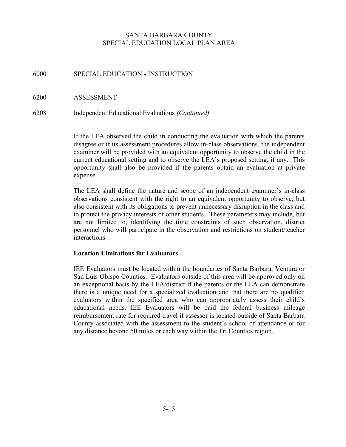## 6000 SPECIAL EDUCATION - INSTRUCTION

## 6200 ASSESSMENT

6208 Independent Educational Evaluations (Continued)

If the LEA observed the child in conducting the evaluation with which the parents disagree or if its assessment procedures allow in-class observations, the independent examiner will be provided with an equivalent opportunity to observe the child in the current educational setting and to observe the LEA's proposed setting, if any. This opportunity shall also be provided if the parents obtain an evaluation at private expense.

The LEA shall define the nature and scope of an independent examiner's in-class observations consistent with the right to an equivalent opportunity to observe, but also consistent with its obligations to prevent unnecessary disruption in the class and to protect the privacy interests of other students. These parameters may include, but are not limited to, identifying the time constraints of such observation, district personnel who will participate in the observation and restrictions on student/teacher interactions.

#### Location Limitations for Evaluators

IEE Evaluators must be located within the boundaries of Santa Barbara, Ventura or San Luis Obispo Counties. Evaluators outside of this area will be approved only on an exceptional basis by the LEA/district if the parents or the LEA can demonstrate there is a unique need for a specialized evaluation and that there are no qualified evaluators within the specified area who can appropriately assess their child's educational needs. IEE Evaluators will be paid the federal business mileage reimbursement rate for required travel if assessor is located outside of Santa Barbara County associated with the assessment to the student's school of attendance or for any distance beyond 50 miles or each way within the Tri Counties region.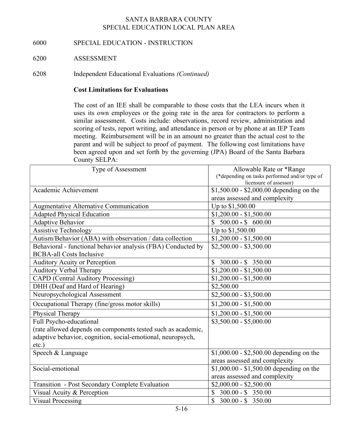## 6000 SPECIAL EDUCATION - INSTRUCTION

## 6200 ASSESSMENT

6208 Independent Educational Evaluations (Continued)

## Cost Limitations for Evaluations

The cost of an IEE shall be comparable to those costs that the LEA incurs when it uses its own employees or the going rate in the area for contractors to perform a similar assessment. Costs include: observations, record review, administration and scoring of tests, report writing, and attendance in person or by phone at an IEP Team meeting. Reimbursement will be in an amount no greater than the actual cost to the parent and will be subject to proof of payment. The following cost limitations have been agreed upon and set forth by the governing (JPA) Board of the Santa Barbara County SELPA:

| Type of Assessment                                           | Allowable Rate or *Range<br>(*depending on tasks performed and/or type of<br>licensure of assessor) |
|--------------------------------------------------------------|-----------------------------------------------------------------------------------------------------|
| Academic Achievement                                         | $$1,500.00 - $2,000.00$ depending on the                                                            |
|                                                              | areas assessed and complexity                                                                       |
| Augmentative Alternative Communication                       | Up to \$1,500.00                                                                                    |
| <b>Adapted Physical Education</b>                            | $$1,200.00 - $1,500.00$                                                                             |
| <b>Adaptive Behavior</b>                                     | $500.00 - $600.00$                                                                                  |
| <b>Assistive Technology</b>                                  | Up to \$1,500.00                                                                                    |
| Autism/Behavior (ABA) with observation / data collection     | $$1,200.00 - $1,500.00$                                                                             |
| Behavioral - functional behavior analysis (FBA) Conducted by | $$2,500.00 - $3,500.00$                                                                             |
| <b>BCBA-all Costs Inclusive</b>                              |                                                                                                     |
| <b>Auditory Acuity or Perception</b>                         | $$300.00 - $350.00$                                                                                 |
| <b>Auditory Verbal Therapy</b>                               | $$1,200.00 - $1,500.00$                                                                             |
| <b>CAPD</b> (Central Auditory Processing)                    | $$1,200.00 - $1,500.00$                                                                             |
| DHH (Deaf and Hard of Hearing)                               | \$2,500.00                                                                                          |
| Neuropsychological Assessment                                | $$2,500.00 - $3,500.00$                                                                             |
| Occupational Therapy (fine/gross motor skills)               | $$1,200.00 - $1,500.00$                                                                             |
| Physical Therapy                                             | $$1,200.00 - $1,500.00$                                                                             |
| Full Psycho-educational                                      | $$3,500.00 - $5,000.00$                                                                             |
| (rate allowed depends on components tested such as academic, |                                                                                                     |
| adaptive behavior, cognition, social-emotional, neuropsych,  |                                                                                                     |
| $etc.$ )                                                     |                                                                                                     |
| Speech & Language                                            | \$1,000.00 - \$2,500.00 depending on the                                                            |
|                                                              | areas assessed and complexity                                                                       |
| Social-emotional                                             | $$1,000.00 - $1,500.00$ depending on the                                                            |
|                                                              | areas assessed and complexity                                                                       |
| Transition - Post Secondary Complete Evaluation              | $$2,000.00 - $2,500.00$                                                                             |
| Visual Acuity & Perception                                   | \$<br>$300.00 - $350.00$                                                                            |
| <b>Visual Processing</b>                                     | $\mathbb{S}$<br>$300.00 - $350.00$                                                                  |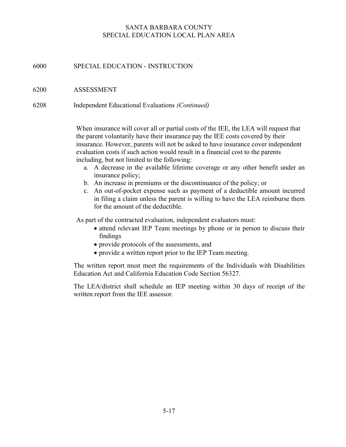## 6000 SPECIAL EDUCATION - INSTRUCTION

6200 ASSESSMENT

6208 Independent Educational Evaluations (Continued)

When insurance will cover all or partial costs of the IEE, the LEA will request that the parent voluntarily have their insurance pay the IEE costs covered by their insurance. However, parents will not be asked to have insurance cover independent evaluation costs if such action would result in a financial cost to the parents including, but not limited to the following:

- a. A decrease in the available lifetime coverage or any other benefit under an insurance policy;
- b. An increase in premiums or the discontinuance of the policy; or
- c. An out-of-pocket expense such as payment of a deductible amount incurred in filing a claim unless the parent is willing to have the LEA reimburse them for the amount of the deductible.

As part of the contracted evaluation, independent evaluators must:

- attend relevant IEP Team meetings by phone or in person to discuss their findings
- provide protocols of the assessments, and
- provide a written report prior to the IEP Team meeting.

The written report must meet the requirements of the Individuals with Disabilities Education Act and California Education Code Section 56327.

The LEA/district shall schedule an IEP meeting within 30 days of receipt of the written report from the IEE assessor.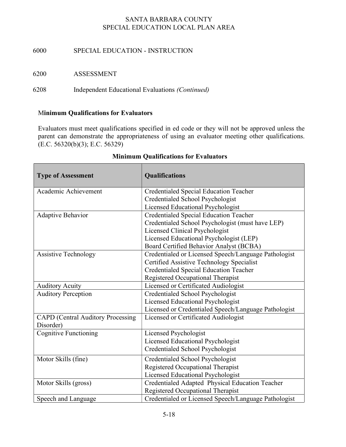## 6000 SPECIAL EDUCATION - INSTRUCTION

6200 ASSESSMENT

6208 Independent Educational Evaluations (Continued)

## Minimum Qualifications for Evaluators

Evaluators must meet qualifications specified in ed code or they will not be approved unless the parent can demonstrate the appropriateness of using an evaluator meeting other qualifications.  $(E.C. 56320(b)(3); E.C. 56329)$ 

| <b>Type of Assessment</b>                | Qualifications                                       |
|------------------------------------------|------------------------------------------------------|
| Academic Achievement                     | <b>Credentialed Special Education Teacher</b>        |
|                                          | Credentialed School Psychologist                     |
|                                          | Licensed Educational Psychologist                    |
| Adaptive Behavior                        | <b>Credentialed Special Education Teacher</b>        |
|                                          | Credentialed School Psychologist (must have LEP)     |
|                                          | Licensed Clinical Psychologist                       |
|                                          | Licensed Educational Psychologist (LEP)              |
|                                          | Board Certified Behavior Analyst (BCBA)              |
| <b>Assistive Technology</b>              | Credentialed or Licensed Speech/Language Pathologist |
|                                          | Certified Assistive Technology Specialist            |
|                                          | <b>Credentialed Special Education Teacher</b>        |
|                                          | Registered Occupational Therapist                    |
| <b>Auditory Acuity</b>                   | Licensed or Certificated Audiologist                 |
| <b>Auditory Perception</b>               | Credentialed School Psychologist                     |
|                                          | Licensed Educational Psychologist                    |
|                                          | Licensed or Credentialed Speech/Language Pathologist |
| <b>CAPD</b> (Central Auditory Processing | Licensed or Certificated Audiologist                 |
| Disorder)                                |                                                      |
| <b>Cognitive Functioning</b>             | Licensed Psychologist                                |
|                                          | Licensed Educational Psychologist                    |
|                                          | Credentialed School Psychologist                     |
| Motor Skills (fine)                      | Credentialed School Psychologist                     |
|                                          | Registered Occupational Therapist                    |
|                                          | Licensed Educational Psychologist                    |
| Motor Skills (gross)                     | Credentialed Adapted Physical Education Teacher      |
|                                          | Registered Occupational Therapist                    |
| Speech and Language                      | Credentialed or Licensed Speech/Language Pathologist |

## Minimum Qualifications for Evaluators

٦